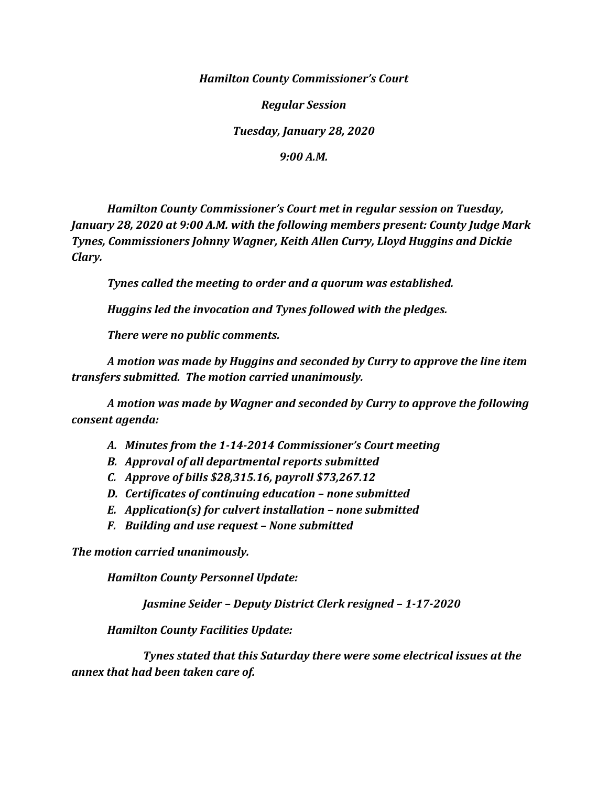*Hamilton County Commissioner's Court*

*Regular Session*

*Tuesday, January 28, 2020*

*9:00 A.M.*

*Hamilton County Commissioner's Court met in regular session on Tuesday, January 28, 2020 at 9:00 A.M. with the following members present: County Judge Mark Tynes, Commissioners Johnny Wagner, Keith Allen Curry, Lloyd Huggins and Dickie Clary.*

*Tynes called the meeting to order and a quorum was established.*

*Huggins led the invocation and Tynes followed with the pledges.*

*There were no public comments.*

*A motion was made by Huggins and seconded by Curry to approve the line item transfers submitted. The motion carried unanimously.*

*A motion was made by Wagner and seconded by Curry to approve the following consent agenda:*

- *A. Minutes from the 1-14-2014 Commissioner's Court meeting*
- *B. Approval of all departmental reports submitted*
- *C. Approve of bills \$28,315.16, payroll \$73,267.12*
- *D. Certificates of continuing education – none submitted*
- *E. Application(s) for culvert installation – none submitted*
- *F. Building and use request – None submitted*

*The motion carried unanimously.*

*Hamilton County Personnel Update:*

*Jasmine Seider – Deputy District Clerk resigned – 1-17-2020*

*Hamilton County Facilities Update:*

*Tynes stated that this Saturday there were some electrical issues at the annex that had been taken care of.*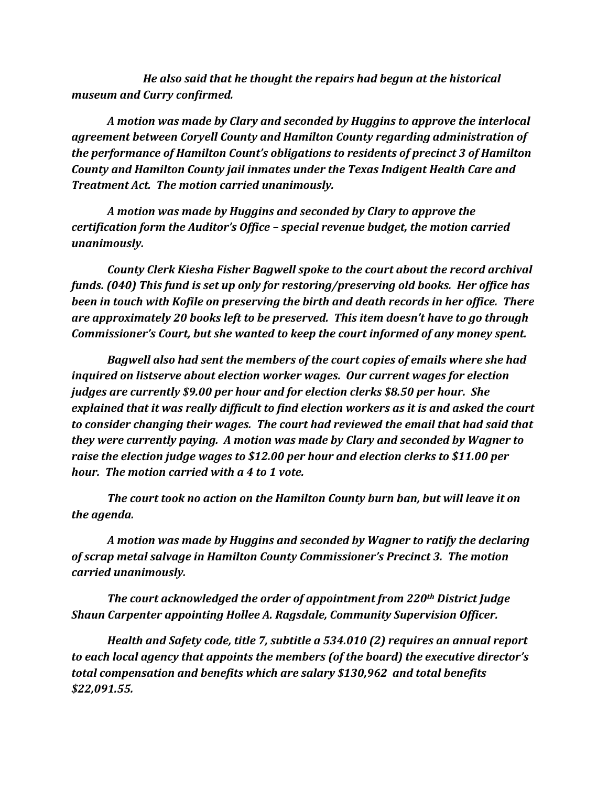*He also said that he thought the repairs had begun at the historical museum and Curry confirmed.*

*A motion was made by Clary and seconded by Huggins to approve the interlocal agreement between Coryell County and Hamilton County regarding administration of the performance of Hamilton Count's obligations to residents of precinct 3 of Hamilton County and Hamilton County jail inmates under the Texas Indigent Health Care and Treatment Act. The motion carried unanimously.*

*A motion was made by Huggins and seconded by Clary to approve the certification form the Auditor's Office – special revenue budget, the motion carried unanimously.*

*County Clerk Kiesha Fisher Bagwell spoke to the court about the record archival funds. (040) This fund is set up only for restoring/preserving old books. Her office has been in touch with Kofile on preserving the birth and death records in her office. There are approximately 20 books left to be preserved. This item doesn't have to go through Commissioner's Court, but she wanted to keep the court informed of any money spent.*

*Bagwell also had sent the members of the court copies of emails where she had inquired on listserve about election worker wages. Our current wages for election judges are currently \$9.00 per hour and for election clerks \$8.50 per hour. She explained that it was really difficult to find election workers as it is and asked the court to consider changing their wages. The court had reviewed the email that had said that they were currently paying. A motion was made by Clary and seconded by Wagner to raise the election judge wages to \$12.00 per hour and election clerks to \$11.00 per hour. The motion carried with a 4 to 1 vote.*

*The court took no action on the Hamilton County burn ban, but will leave it on the agenda.*

*A motion was made by Huggins and seconded by Wagner to ratify the declaring of scrap metal salvage in Hamilton County Commissioner's Precinct 3. The motion carried unanimously.*

*The court acknowledged the order of appointment from 220th District Judge Shaun Carpenter appointing Hollee A. Ragsdale, Community Supervision Officer.*

*Health and Safety code, title 7, subtitle a 534.010 (2) requires an annual report to each local agency that appoints the members (of the board) the executive director's total compensation and benefits which are salary \$130,962 and total benefits \$22,091.55.*